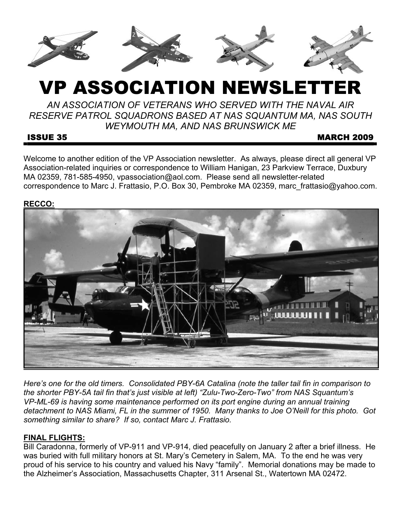

# VP ASSOCIATION NEWSLETTER

*AN ASSOCIATION OF VETERANS WHO SERVED WITH THE NAVAL AIR RESERVE PATROL SQUADRONS BASED AT NAS SQUANTUM MA, NAS SOUTH WEYMOUTH MA, AND NAS BRUNSWICK ME* 

# ISSUE 35 MARCH 2009

Welcome to another edition of the VP Association newsletter. As always, please direct all general VP Association-related inquiries or correspondence to William Hanigan, 23 Parkview Terrace, Duxbury MA 02359, 781-585-4950, vpassociation@aol.com. Please send all newsletter-related correspondence to Marc J. Frattasio, P.O. Box 30, Pembroke MA 02359, marc\_frattasio@yahoo.com.

# **RECCO:**



*Here's one for the old timers. Consolidated PBY-6A Catalina (note the taller tail fin in comparison to the shorter PBY-5A tail fin that's just visible at left) "Zulu-Two-Zero-Two" from NAS Squantum's VP-ML-69 is having some maintenance performed on its port engine during an annual training detachment to NAS Miami, FL in the summer of 1950. Many thanks to Joe O'Neill for this photo. Got something similar to share? If so, contact Marc J. Frattasio.* 

# **FINAL FLIGHTS:**

Bill Caradonna, formerly of VP-911 and VP-914, died peacefully on January 2 after a brief illness. He was buried with full military honors at St. Mary's Cemetery in Salem, MA. To the end he was very proud of his service to his country and valued his Navy "family". Memorial donations may be made to the Alzheimer's Association, Massachusetts Chapter, 311 Arsenal St., Watertown MA 02472.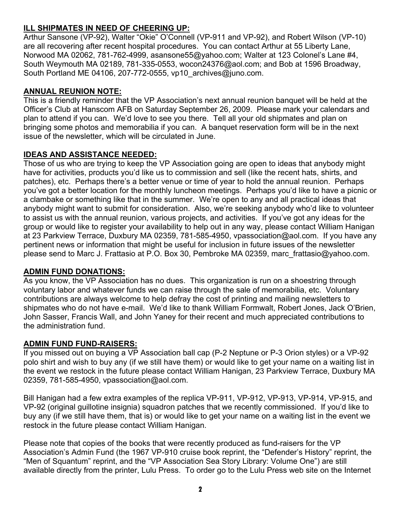# **ILL SHIPMATES IN NEED OF CHEERING UP:**

Arthur Sansone (VP-92), Walter "Okie" O'Connell (VP-911 and VP-92), and Robert Wilson (VP-10) are all recovering after recent hospital procedures. You can contact Arthur at 55 Liberty Lane, Norwood MA 02062, 781-762-4999, asansone55@yahoo.com; Walter at 123 Colonel's Lane #4, South Weymouth MA 02189, 781-335-0553, wocon24376@aol.com; and Bob at 1596 Broadway, South Portland ME 04106, 207-772-0555, vp10\_archives@juno.com.

# **ANNUAL REUNION NOTE:**

This is a friendly reminder that the VP Association's next annual reunion banquet will be held at the Officer's Club at Hanscom AFB on Saturday September 26, 2009. Please mark your calendars and plan to attend if you can. We'd love to see you there. Tell all your old shipmates and plan on bringing some photos and memorabilia if you can. A banquet reservation form will be in the next issue of the newsletter, which will be circulated in June.

# **IDEAS AND ASSISTANCE NEEDED:**

Those of us who are trying to keep the VP Association going are open to ideas that anybody might have for activities, products you'd like us to commission and sell (like the recent hats, shirts, and patches), etc. Perhaps there's a better venue or time of year to hold the annual reunion. Perhaps you've got a better location for the monthly luncheon meetings. Perhaps you'd like to have a picnic or a clambake or something like that in the summer. We're open to any and all practical ideas that anybody might want to submit for consideration. Also, we're seeking anybody who'd like to volunteer to assist us with the annual reunion, various projects, and activities. If you've got any ideas for the group or would like to register your availability to help out in any way, please contact William Hanigan at 23 Parkview Terrace, Duxbury MA 02359, 781-585-4950, vpassociation@aol.com. If you have any pertinent news or information that might be useful for inclusion in future issues of the newsletter please send to Marc J. Frattasio at P.O. Box 30, Pembroke MA 02359, marc\_frattasio@yahoo.com.

# **ADMIN FUND DONATIONS:**

As you know, the VP Association has no dues. This organization is run on a shoestring through voluntary labor and whatever funds we can raise through the sale of memorabilia, etc. Voluntary contributions are always welcome to help defray the cost of printing and mailing newsletters to shipmates who do not have e-mail. We'd like to thank William Formwalt, Robert Jones, Jack O'Brien, John Sasser, Francis Wall, and John Yaney for their recent and much appreciated contributions to the administration fund.

# **ADMIN FUND FUND-RAISERS:**

If you missed out on buying a VP Association ball cap (P-2 Neptune or P-3 Orion styles) or a VP-92 polo shirt and wish to buy any (if we still have them) or would like to get your name on a waiting list in the event we restock in the future please contact William Hanigan, 23 Parkview Terrace, Duxbury MA 02359, 781-585-4950, vpassociation@aol.com.

Bill Hanigan had a few extra examples of the replica VP-911, VP-912, VP-913, VP-914, VP-915, and VP-92 (original guillotine insignia) squadron patches that we recently commissioned. If you'd like to buy any (if we still have them, that is) or would like to get your name on a waiting list in the event we restock in the future please contact William Hanigan.

Please note that copies of the books that were recently produced as fund-raisers for the VP Association's Admin Fund (the 1967 VP-910 cruise book reprint, the "Defender's History" reprint, the "Men of Squantum" reprint, and the "VP Association Sea Story Library: Volume One") are still available directly from the printer, Lulu Press. To order go to the Lulu Press web site on the Internet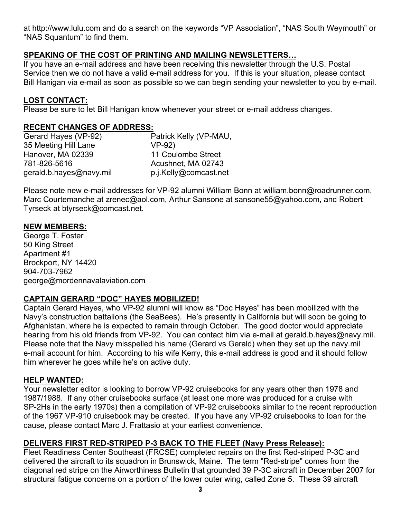at http://www.lulu.com and do a search on the keywords "VP Association", "NAS South Weymouth" or "NAS Squantum" to find them.

# **SPEAKING OF THE COST OF PRINTING AND MAILING NEWSLETTERS…**

If you have an e-mail address and have been receiving this newsletter through the U.S. Postal Service then we do not have a valid e-mail address for you. If this is your situation, please contact Bill Hanigan via e-mail as soon as possible so we can begin sending your newsletter to you by e-mail.

# **LOST CONTACT:**

Please be sure to let Bill Hanigan know whenever your street or e-mail address changes.

#### **RECENT CHANGES OF ADDRESS:**

| Gerard Hayes (VP-92)    | Patrick Kelly (VP-MAU, |
|-------------------------|------------------------|
| 35 Meeting Hill Lane    | $VP-92)$               |
| Hanover, MA 02339       | 11 Coulombe Street     |
| 781-826-5616            | Acushnet, MA 02743     |
| gerald.b.hayes@navy.mil | p.j.Kelly@comcast.net  |

Please note new e-mail addresses for VP-92 alumni William Bonn at william.bonn@roadrunner.com, Marc Courtemanche at zrenec@aol.com, Arthur Sansone at sansone55@yahoo.com, and Robert Tyrseck at btyrseck@comcast.net.

#### **NEW MEMBERS:**

George T. Foster 50 King Street Apartment #1 Brockport, NY 14420 904-703-7962 george@mordennavalaviation.com

# **CAPTAIN GERARD "DOC" HAYES MOBILIZED!**

Captain Gerard Hayes, who VP-92 alumni will know as "Doc Hayes" has been mobilized with the Navy's construction battalions (the SeaBees). He's presently in California but will soon be going to Afghanistan, where he is expected to remain through October. The good doctor would appreciate hearing from his old friends from VP-92. You can contact him via e-mail at gerald.b.hayes@navy.mil. Please note that the Navy misspelled his name (Gerard vs Gerald) when they set up the navy.mil e-mail account for him. According to his wife Kerry, this e-mail address is good and it should follow him wherever he goes while he's on active duty.

#### **HELP WANTED:**

Your newsletter editor is looking to borrow VP-92 cruisebooks for any years other than 1978 and 1987/1988. If any other cruisebooks surface (at least one more was produced for a cruise with SP-2Hs in the early 1970s) then a compilation of VP-92 cruisebooks similar to the recent reproduction of the 1967 VP-910 cruisebook may be created. If you have any VP-92 cruisebooks to loan for the cause, please contact Marc J. Frattasio at your earliest convenience.

# **DELIVERS FIRST RED-STRIPED P-3 BACK TO THE FLEET (Navy Press Release):**

Fleet Readiness Center Southeast (FRCSE) completed repairs on the first Red-striped P-3C and delivered the aircraft to its squadron in Brunswick, Maine. The term "Red-stripe" comes from the diagonal red stripe on the Airworthiness Bulletin that grounded 39 P-3C aircraft in December 2007 for structural fatigue concerns on a portion of the lower outer wing, called Zone 5. These 39 aircraft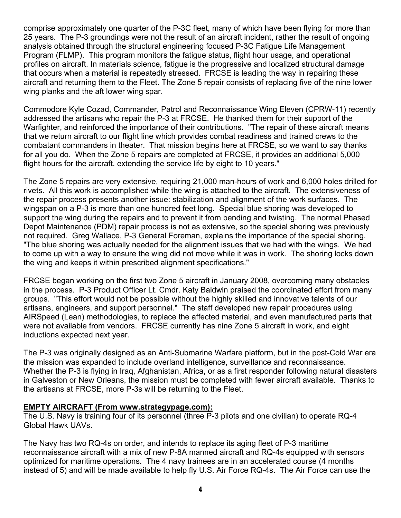comprise approximately one quarter of the P-3C fleet, many of which have been flying for more than 25 years. The P-3 groundings were not the result of an aircraft incident, rather the result of ongoing analysis obtained through the structural engineering focused P-3C Fatigue Life Management Program (FLMP). This program monitors the fatigue status, flight hour usage, and operational profiles on aircraft. In materials science, fatigue is the progressive and localized structural damage that occurs when a material is repeatedly stressed. FRCSE is leading the way in repairing these aircraft and returning them to the Fleet. The Zone 5 repair consists of replacing five of the nine lower wing planks and the aft lower wing spar.

Commodore Kyle Cozad, Commander, Patrol and Reconnaissance Wing Eleven (CPRW-11) recently addressed the artisans who repair the P-3 at FRCSE. He thanked them for their support of the Warfighter, and reinforced the importance of their contributions. "The repair of these aircraft means that we return aircraft to our flight line which provides combat readiness and trained crews to the combatant commanders in theater. That mission begins here at FRCSE, so we want to say thanks for all you do. When the Zone 5 repairs are completed at FRCSE, it provides an additional 5,000 flight hours for the aircraft, extending the service life by eight to 10 years."

The Zone 5 repairs are very extensive, requiring 21,000 man-hours of work and 6,000 holes drilled for rivets. All this work is accomplished while the wing is attached to the aircraft. The extensiveness of the repair process presents another issue: stabilization and alignment of the work surfaces. The wingspan on a P-3 is more than one hundred feet long. Special blue shoring was developed to support the wing during the repairs and to prevent it from bending and twisting. The normal Phased Depot Maintenance (PDM) repair process is not as extensive, so the special shoring was previously not required. Greg Wallace, P-3 General Foreman, explains the importance of the special shoring. "The blue shoring was actually needed for the alignment issues that we had with the wings. We had to come up with a way to ensure the wing did not move while it was in work. The shoring locks down the wing and keeps it within prescribed alignment specifications."

FRCSE began working on the first two Zone 5 aircraft in January 2008, overcoming many obstacles in the process. P-3 Product Officer Lt. Cmdr. Katy Baldwin praised the coordinated effort from many groups. "This effort would not be possible without the highly skilled and innovative talents of our artisans, engineers, and support personnel." The staff developed new repair procedures using AIRSpeed (Lean) methodologies, to replace the affected material, and even manufactured parts that were not available from vendors. FRCSE currently has nine Zone 5 aircraft in work, and eight inductions expected next year.

The P-3 was originally designed as an Anti-Submarine Warfare platform, but in the post-Cold War era the mission was expanded to include overland intelligence, surveillance and reconnaissance. Whether the P-3 is flying in Iraq, Afghanistan, Africa, or as a first responder following natural disasters in Galveston or New Orleans, the mission must be completed with fewer aircraft available. Thanks to the artisans at FRCSE, more P-3s will be returning to the Fleet.

#### **EMPTY AIRCRAFT (From www.strategypage.com):**

The U.S. Navy is training four of its personnel (three P-3 pilots and one civilian) to operate RQ-4 Global Hawk UAVs.

The Navy has two RQ-4s on order, and intends to replace its aging fleet of P-3 maritime reconnaissance aircraft with a mix of new P-8A manned aircraft and RQ-4s equipped with sensors optimized for maritime operations. The 4 navy trainees are in an accelerated course (4 months instead of 5) and will be made available to help fly U.S. Air Force RQ-4s. The Air Force can use the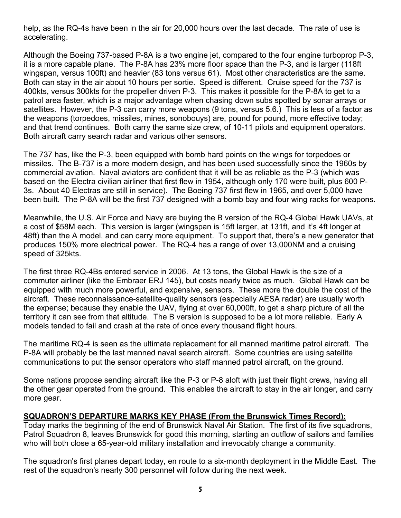help, as the RQ-4s have been in the air for 20,000 hours over the last decade. The rate of use is accelerating.

Although the Boeing 737-based P-8A is a two engine jet, compared to the four engine turboprop P-3, it is a more capable plane. The P-8A has 23% more floor space than the P-3, and is larger (118ft wingspan, versus 100ft) and heavier (83 tons versus 61). Most other characteristics are the same. Both can stay in the air about 10 hours per sortie. Speed is different. Cruise speed for the 737 is 400kts, versus 300kts for the propeller driven P-3. This makes it possible for the P-8A to get to a patrol area faster, which is a major advantage when chasing down subs spotted by sonar arrays or satellites. However, the P-3 can carry more weapons (9 tons, versus 5.6.) This is less of a factor as the weapons (torpedoes, missiles, mines, sonobouys) are, pound for pound, more effective today; and that trend continues. Both carry the same size crew, of 10-11 pilots and equipment operators. Both aircraft carry search radar and various other sensors.

The 737 has, like the P-3, been equipped with bomb hard points on the wings for torpedoes or missiles. The B-737 is a more modern design, and has been used successfully since the 1960s by commercial aviation. Naval aviators are confident that it will be as reliable as the P-3 (which was based on the Electra civilian airliner that first flew in 1954, although only 170 were built, plus 600 P-3s. About 40 Electras are still in service). The Boeing 737 first flew in 1965, and over 5,000 have been built. The P-8A will be the first 737 designed with a bomb bay and four wing racks for weapons.

Meanwhile, the U.S. Air Force and Navy are buying the B version of the RQ-4 Global Hawk UAVs, at a cost of \$58M each. This version is larger (wingspan is 15ft larger, at 131ft, and it's 4ft longer at 48ft) than the A model, and can carry more equipment. To support that, there's a new generator that produces 150% more electrical power. The RQ-4 has a range of over 13,000NM and a cruising speed of 325kts.

The first three RQ-4Bs entered service in 2006. At 13 tons, the Global Hawk is the size of a commuter airliner (like the Embraer ERJ 145), but costs nearly twice as much. Global Hawk can be equipped with much more powerful, and expensive, sensors. These more the double the cost of the aircraft. These reconnaissance-satellite-quality sensors (especially AESA radar) are usually worth the expense; because they enable the UAV, flying at over 60,000ft, to get a sharp picture of all the territory it can see from that altitude. The B version is supposed to be a lot more reliable. Early A models tended to fail and crash at the rate of once every thousand flight hours.

The maritime RQ-4 is seen as the ultimate replacement for all manned maritime patrol aircraft. The P-8A will probably be the last manned naval search aircraft. Some countries are using satellite communications to put the sensor operators who staff manned patrol aircraft, on the ground.

Some nations propose sending aircraft like the P-3 or P-8 aloft with just their flight crews, having all the other gear operated from the ground. This enables the aircraft to stay in the air longer, and carry more gear.

#### **SQUADRON'S DEPARTURE MARKS KEY PHASE (From the Brunswick Times Record):**

Today marks the beginning of the end of Brunswick Naval Air Station. The first of its five squadrons, Patrol Squadron 8, leaves Brunswick for good this morning, starting an outflow of sailors and families who will both close a 65-year-old military installation and irrevocably change a community.

The squadron's first planes depart today, en route to a six-month deployment in the Middle East. The rest of the squadron's nearly 300 personnel will follow during the next week.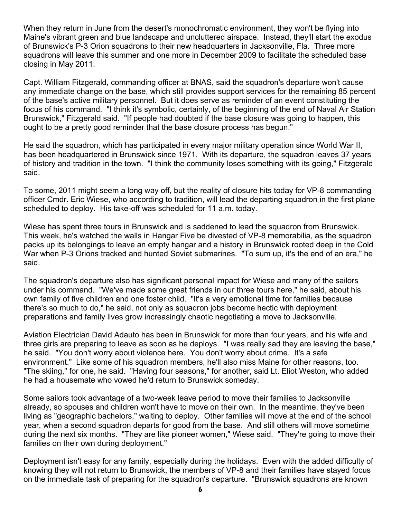When they return in June from the desert's monochromatic environment, they won't be flying into Maine's vibrant green and blue landscape and uncluttered airspace. Instead, they'll start the exodus of Brunswick's P-3 Orion squadrons to their new headquarters in Jacksonville, Fla. Three more squadrons will leave this summer and one more in December 2009 to facilitate the scheduled base closing in May 2011.

Capt. William Fitzgerald, commanding officer at BNAS, said the squadron's departure won't cause any immediate change on the base, which still provides support services for the remaining 85 percent of the base's active military personnel. But it does serve as reminder of an event constituting the focus of his command. "I think it's symbolic, certainly, of the beginning of the end of Naval Air Station Brunswick," Fitzgerald said. "If people had doubted if the base closure was going to happen, this ought to be a pretty good reminder that the base closure process has begun."

He said the squadron, which has participated in every major military operation since World War II, has been headquartered in Brunswick since 1971. With its departure, the squadron leaves 37 years of history and tradition in the town. "I think the community loses something with its going," Fitzgerald said.

To some, 2011 might seem a long way off, but the reality of closure hits today for VP-8 commanding officer Cmdr. Eric Wiese, who according to tradition, will lead the departing squadron in the first plane scheduled to deploy. His take-off was scheduled for 11 a.m. today.

Wiese has spent three tours in Brunswick and is saddened to lead the squadron from Brunswick. This week, he's watched the walls in Hangar Five be divested of VP-8 memorabilia, as the squadron packs up its belongings to leave an empty hangar and a history in Brunswick rooted deep in the Cold War when P-3 Orions tracked and hunted Soviet submarines. "To sum up, it's the end of an era," he said.

The squadron's departure also has significant personal impact for Wiese and many of the sailors under his command. "We've made some great friends in our three tours here," he said, about his own family of five children and one foster child. "It's a very emotional time for families because there's so much to do," he said, not only as squadron jobs become hectic with deployment preparations and family lives grow increasingly chaotic negotiating a move to Jacksonville.

Aviation Electrician David Adauto has been in Brunswick for more than four years, and his wife and three girls are preparing to leave as soon as he deploys. "I was really sad they are leaving the base," he said. "You don't worry about violence here. You don't worry about crime. It's a safe environment." Like some of his squadron members, he'll also miss Maine for other reasons, too. "The skiing," for one, he said. "Having four seasons," for another, said Lt. Eliot Weston, who added he had a housemate who vowed he'd return to Brunswick someday.

Some sailors took advantage of a two-week leave period to move their families to Jacksonville already, so spouses and children won't have to move on their own. In the meantime, they've been living as "geographic bachelors," waiting to deploy. Other families will move at the end of the school year, when a second squadron departs for good from the base. And still others will move sometime during the next six months. "They are like pioneer women," Wiese said. "They're going to move their families on their own during deployment."

Deployment isn't easy for any family, especially during the holidays. Even with the added difficulty of knowing they will not return to Brunswick, the members of VP-8 and their families have stayed focus on the immediate task of preparing for the squadron's departure. "Brunswick squadrons are known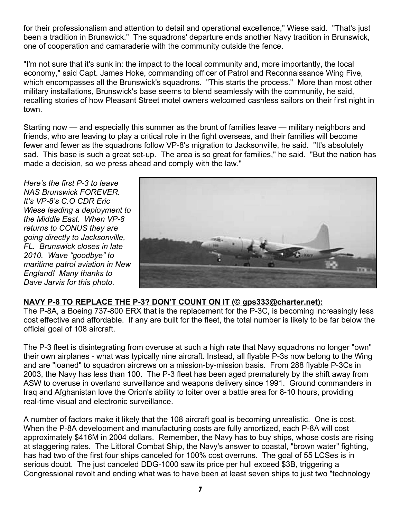for their professionalism and attention to detail and operational excellence," Wiese said. "That's just been a tradition in Brunswick." The squadrons' departure ends another Navy tradition in Brunswick, one of cooperation and camaraderie with the community outside the fence.

"I'm not sure that it's sunk in: the impact to the local community and, more importantly, the local economy," said Capt. James Hoke, commanding officer of Patrol and Reconnaissance Wing Five, which encompasses all the Brunswick's squadrons. "This starts the process." More than most other military installations, Brunswick's base seems to blend seamlessly with the community, he said, recalling stories of how Pleasant Street motel owners welcomed cashless sailors on their first night in town.

Starting now — and especially this summer as the brunt of families leave — military neighbors and friends, who are leaving to play a critical role in the fight overseas, and their families will become fewer and fewer as the squadrons follow VP-8's migration to Jacksonville, he said. "It's absolutely sad. This base is such a great set-up. The area is so great for families," he said. "But the nation has made a decision, so we press ahead and comply with the law."

*Here's the first P-3 to leave NAS Brunswick FOREVER. It's VP-8's C.O CDR Eric Wiese leading a deployment to the Middle East. When VP-8 returns to CONUS they are going directly to Jacksonville, FL. Brunswick closes in late 2010. Wave "goodbye" to maritime patrol aviation in New England! Many thanks to Dave Jarvis for this photo.* 



# **NAVY P-8 TO REPLACE THE P-3? DON'T COUNT ON IT (© gps333@charter.net):**

The P-8A, a Boeing 737-800 ERX that is the replacement for the P-3C, is becoming increasingly less cost effective and affordable. If any are built for the fleet, the total number is likely to be far below the official goal of 108 aircraft.

The P-3 fleet is disintegrating from overuse at such a high rate that Navy squadrons no longer "own" their own airplanes - what was typically nine aircraft. Instead, all flyable P-3s now belong to the Wing and are "loaned" to squadron aircrews on a mission-by-mission basis. From 288 flyable P-3Cs in 2003, the Navy has less than 100. The P-3 fleet has been aged prematurely by the shift away from ASW to overuse in overland surveillance and weapons delivery since 1991. Ground commanders in Iraq and Afghanistan love the Orion's ability to loiter over a battle area for 8-10 hours, providing real-time visual and electronic surveillance.

A number of factors make it likely that the 108 aircraft goal is becoming unrealistic. One is cost. When the P-8A development and manufacturing costs are fully amortized, each P-8A will cost approximately \$416M in 2004 dollars. Remember, the Navy has to buy ships, whose costs are rising at staggering rates. The Littoral Combat Ship, the Navy's answer to coastal, "brown water" fighting, has had two of the first four ships canceled for 100% cost overruns. The goal of 55 LCSes is in serious doubt. The just canceled DDG-1000 saw its price per hull exceed \$3B, triggering a Congressional revolt and ending what was to have been at least seven ships to just two "technology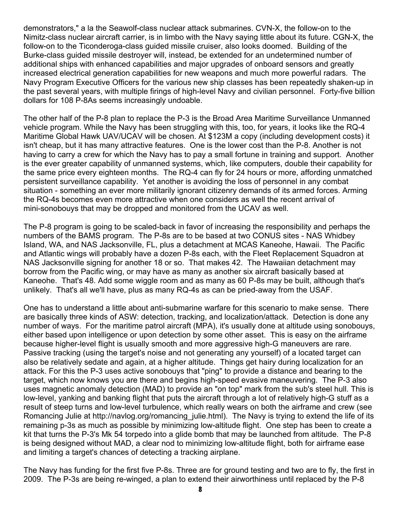demonstrators," a la the Seawolf-class nuclear attack submarines. CVN-X, the follow-on to the Nimitz-class nuclear aircraft carrier, is in limbo with the Navy saying little about its future. CGN-X, the follow-on to the Ticonderoga-class guided missile cruiser, also looks doomed. Building of the Burke-class guided missile destroyer will, instead, be extended for an undetermined number of additional ships with enhanced capabilities and major upgrades of onboard sensors and greatly increased electrical generation capabilities for new weapons and much more powerful radars. The Navy Program Executive Officers for the various new ship classes has been repeatedly shaken-up in the past several years, with multiple firings of high-level Navy and civilian personnel. Forty-five billion dollars for 108 P-8As seems increasingly undoable.

The other half of the P-8 plan to replace the P-3 is the Broad Area Maritime Surveillance Unmanned vehicle program. While the Navy has been struggling with this, too, for years, it looks like the RQ-4 Maritime Global Hawk UAV/UCAV will be chosen. At \$123M a copy (including development costs) it isn't cheap, but it has many attractive features. One is the lower cost than the P-8. Another is not having to carry a crew for which the Navy has to pay a small fortune in training and support. Another is the ever greater capability of unmanned systems, which, like computers, double their capability for the same price every eighteen months. The RQ-4 can fly for 24 hours or more, affording unmatched persistent surveillance capability. Yet another is avoiding the loss of personnel in any combat situation - something an ever more militarily ignorant citizenry demands of its armed forces. Arming the RQ-4s becomes even more attractive when one considers as well the recent arrival of mini-sonobouys that may be dropped and monitored from the UCAV as well.

The P-8 program is going to be scaled-back in favor of increasing the responsibility and perhaps the numbers of the BAMS program. The P-8s are to be based at two CONUS sites - NAS Whidbey Island, WA, and NAS Jacksonville, FL, plus a detachment at MCAS Kaneohe, Hawaii. The Pacific and Atlantic wings will probably have a dozen P-8s each, with the Fleet Replacement Squadron at NAS Jacksonville signing for another 18 or so. That makes 42. The Hawaiian detachment may borrow from the Pacific wing, or may have as many as another six aircraft basically based at Kaneohe. That's 48. Add some wiggle room and as many as 60 P-8s may be built, although that's unlikely. That's all we'll have, plus as many RQ-4s as can be pried-away from the USAF.

One has to understand a little about anti-submarine warfare for this scenario to make sense. There are basically three kinds of ASW: detection, tracking, and localization/attack. Detection is done any number of ways. For the maritime patrol aircraft (MPA), it's usually done at altitude using sonobouys, either based upon intelligence or upon detection by some other asset. This is easy on the airframe because higher-level flight is usually smooth and more aggressive high-G maneuvers are rare. Passive tracking (using the target's noise and not generating any yourself) of a located target can also be relatively sedate and again, at a higher altitude. Things get hairy during localization for an attack. For this the P-3 uses active sonobouys that "ping" to provide a distance and bearing to the target, which now knows you are there and begins high-speed evasive maneuvering. The P-3 also uses magnetic anomaly detection (MAD) to provide an "on top" mark from the sub's steel hull. This is low-level, yanking and banking flight that puts the aircraft through a lot of relatively high-G stuff as a result of steep turns and low-level turbulence, which really wears on both the airframe and crew (see Romancing Julie at http://navlog.org/romancing julie.html). The Navy is trying to extend the life of its remaining p-3s as much as possible by minimizing low-altitude flight. One step has been to create a kit that turns the P-3's Mk 54 torpedo into a glide bomb that may be launched from altitude. The P-8 is being designed without MAD, a clear nod to minimizing low-altitude flight, both for airframe ease and limiting a target's chances of detecting a tracking airplane.

The Navy has funding for the first five P-8s. Three are for ground testing and two are to fly, the first in 2009. The P-3s are being re-winged, a plan to extend their airworthiness until replaced by the P-8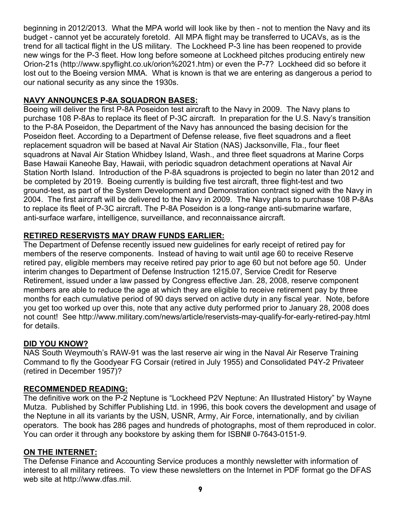beginning in 2012/2013. What the MPA world will look like by then - not to mention the Navy and its budget - cannot yet be accurately foretold. All MPA flight may be transferred to UCAVs, as is the trend for all tactical flight in the US military. The Lockheed P-3 line has been reopened to provide new wings for the P-3 fleet. How long before someone at Lockheed pitches producing entirely new Orion-21s (http://www.spyflight.co.uk/orion%2021.htm) or even the P-7? Lockheed did so before it lost out to the Boeing version MMA. What is known is that we are entering as dangerous a period to our national security as any since the 1930s.

# **NAVY ANNOUNCES P-8A SQUADRON BASES:**

Boeing will deliver the first P-8A Poseidon test aircraft to the Navy in 2009. The Navy plans to purchase 108 P-8As to replace its fleet of P-3C aircraft. In preparation for the U.S. Navy's transition to the P-8A Poseidon, the Department of the Navy has announced the basing decision for the Poseidon fleet. According to a Department of Defense release, five fleet squadrons and a fleet replacement squadron will be based at Naval Air Station (NAS) Jacksonville, Fla., four fleet squadrons at Naval Air Station Whidbey Island, Wash., and three fleet squadrons at Marine Corps Base Hawaii Kaneohe Bay, Hawaii, with periodic squadron detachment operations at Naval Air Station North Island. Introduction of the P-8A squadrons is projected to begin no later than 2012 and be completed by 2019. Boeing currently is building five test aircraft, three flight-test and two ground-test, as part of the System Development and Demonstration contract signed with the Navy in 2004. The first aircraft will be delivered to the Navy in 2009. The Navy plans to purchase 108 P-8As to replace its fleet of P-3C aircraft. The P-8A Poseidon is a long-range anti-submarine warfare, anti-surface warfare, intelligence, surveillance, and reconnaissance aircraft.

# **RETIRED RESERVISTS MAY DRAW FUNDS EARLIER:**

The Department of Defense recently issued new guidelines for early receipt of retired pay for members of the reserve components. Instead of having to wait until age 60 to receive Reserve retired pay, eligible members may receive retired pay prior to age 60 but not before age 50. Under interim changes to Department of Defense Instruction 1215.07, Service Credit for Reserve Retirement, issued under a law passed by Congress effective Jan. 28, 2008, reserve component members are able to reduce the age at which they are eligible to receive retirement pay by three months for each cumulative period of 90 days served on active duty in any fiscal year. Note, before you get too worked up over this, note that any active duty performed prior to January 28, 2008 does not count! See http://www.military.com/news/article/reservists-may-qualify-for-early-retired-pay.html for details.

# **DID YOU KNOW?**

NAS South Weymouth's RAW-91 was the last reserve air wing in the Naval Air Reserve Training Command to fly the Goodyear FG Corsair (retired in July 1955) and Consolidated P4Y-2 Privateer (retired in December 1957)?

# **RECOMMENDED READING:**

The definitive work on the P-2 Neptune is "Lockheed P2V Neptune: An Illustrated History" by Wayne Mutza. Published by Schiffer Publishing Ltd. in 1996, this book covers the development and usage of the Neptune in all its variants by the USN, USNR, Army, Air Force, internationally, and by civilian operators. The book has 286 pages and hundreds of photographs, most of them reproduced in color. You can order it through any bookstore by asking them for ISBN# 0-7643-0151-9.

#### **ON THE INTERNET:**

The Defense Finance and Accounting Service produces a monthly newsletter with information of interest to all military retirees. To view these newsletters on the Internet in PDF format go the DFAS web site at http://www.dfas.mil.